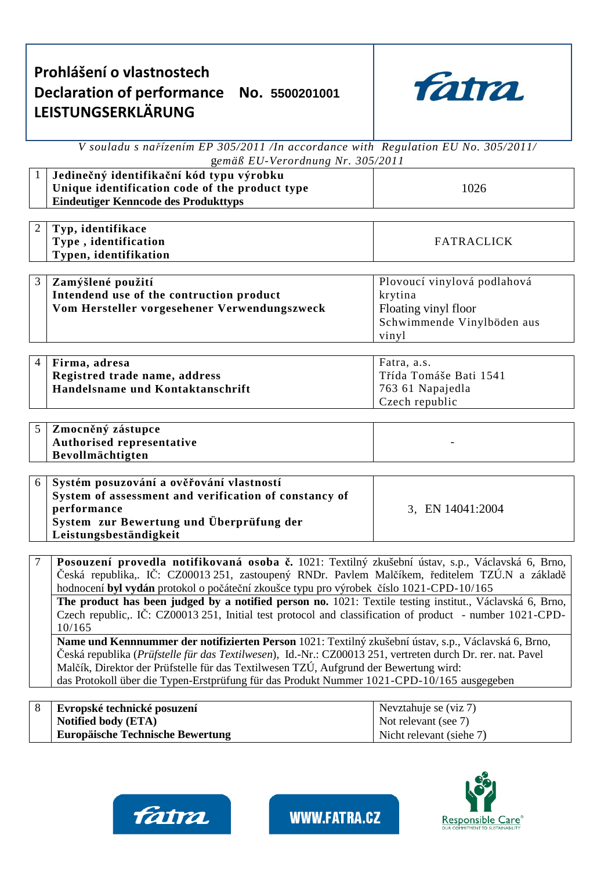| Prohlášení o vlastnostech                 |  |  |
|-------------------------------------------|--|--|
| Declaration of performance No. 5500201001 |  |  |
| <b>LEISTUNGSERKLÄRUNG</b>                 |  |  |
|                                           |  |  |



*V souladu s nařízením EP 305/2011 /In accordance with Regulation EU No. 305/2011/* g*emäß EU-Verordnung Nr. 305/2011* 

|                  | gemap LU-veroranung ivi. 505/2011                                                                                                                                                                   |                             |  |  |  |  |
|------------------|-----------------------------------------------------------------------------------------------------------------------------------------------------------------------------------------------------|-----------------------------|--|--|--|--|
| $\mathbf{1}$     | Jedinečný identifikační kód typu výrobku                                                                                                                                                            |                             |  |  |  |  |
|                  | Unique identification code of the product type                                                                                                                                                      | 1026                        |  |  |  |  |
|                  | <b>Eindeutiger Kenncode des Produkttyps</b>                                                                                                                                                         |                             |  |  |  |  |
|                  |                                                                                                                                                                                                     |                             |  |  |  |  |
| $\overline{2}$   | Typ, identifikace                                                                                                                                                                                   |                             |  |  |  |  |
|                  | Type, identification                                                                                                                                                                                | <b>FATRACLICK</b>           |  |  |  |  |
|                  | Typen, identifikation                                                                                                                                                                               |                             |  |  |  |  |
|                  |                                                                                                                                                                                                     |                             |  |  |  |  |
| 3                | Zamýšlené použití                                                                                                                                                                                   | Plovoucí vinylová podlahová |  |  |  |  |
|                  | Intendend use of the contruction product                                                                                                                                                            | krytina                     |  |  |  |  |
|                  | Vom Hersteller vorgesehener Verwendungszweck                                                                                                                                                        | Floating vinyl floor        |  |  |  |  |
|                  |                                                                                                                                                                                                     | Schwimmende Vinylböden aus  |  |  |  |  |
|                  |                                                                                                                                                                                                     | vinyl                       |  |  |  |  |
|                  |                                                                                                                                                                                                     |                             |  |  |  |  |
| $\overline{4}$   | Firma, adresa                                                                                                                                                                                       | Fatra, a.s.                 |  |  |  |  |
|                  | Registred trade name, address                                                                                                                                                                       | Třída Tomáše Bati 1541      |  |  |  |  |
|                  | Handelsname und Kontaktanschrift                                                                                                                                                                    | 763 61 Napajedla            |  |  |  |  |
|                  |                                                                                                                                                                                                     | Czech republic              |  |  |  |  |
|                  |                                                                                                                                                                                                     |                             |  |  |  |  |
| $\overline{5}$   | Zmocněný zástupce                                                                                                                                                                                   |                             |  |  |  |  |
|                  | Authorised representative                                                                                                                                                                           |                             |  |  |  |  |
|                  | Bevollmächtigten                                                                                                                                                                                    |                             |  |  |  |  |
|                  |                                                                                                                                                                                                     |                             |  |  |  |  |
| 6                | Systém posuzování a ověřování vlastností                                                                                                                                                            |                             |  |  |  |  |
|                  | System of assessment and verification of constancy of                                                                                                                                               |                             |  |  |  |  |
|                  | performance                                                                                                                                                                                         | 3, EN 14041:2004            |  |  |  |  |
|                  | System zur Bewertung und Überprüfung der                                                                                                                                                            |                             |  |  |  |  |
|                  | Leistungsbeständigkeit                                                                                                                                                                              |                             |  |  |  |  |
|                  |                                                                                                                                                                                                     |                             |  |  |  |  |
| $\boldsymbol{7}$ | Posouzení provedla notifikovaná osoba č. 1021: Textilný zkušební ústav, s.p., Václavská 6, Brno,<br>Česká republika,. IČ: CZ00013 251, zastoupený RNDr. Pavlem Malčíkem, ředitelem TZÚ.N a základě  |                             |  |  |  |  |
|                  | hodnocení byl vydán protokol o počáteční zkoušce typu pro výrobek číslo 1021-CPD-10/165<br>The product has been judged by a notified person no. 1021: Textile testing institut., Václavská 6, Brno, |                             |  |  |  |  |
|                  | Czech republic,. IČ: CZ00013 251, Initial test protocol and classification of product - number 1021-CPD-                                                                                            |                             |  |  |  |  |
|                  | 10/165                                                                                                                                                                                              |                             |  |  |  |  |

**Name und Kennnummer der notifizierten Person** 1021: Textilný zkušební ústav, s.p., Václavská 6, Brno, Česká republika (*Prüfstelle für das Textilwesen*), Id.-Nr.: CZ00013 251, vertreten durch Dr. rer. nat. Pavel Malčík, Direktor der Prüfstelle für das Textilwesen TZÚ, Aufgrund der Bewertung wird: das Protokoll über die Typen-Erstprüfung für das Produkt Nummer 1021-CPD-10/165 ausgegeben

| Evropské technické posuzení             | Nevztahuje se (viz 7)       |
|-----------------------------------------|-----------------------------|
| Notified body (ETA)                     | Not relevant (see 7)        |
| <b>Europäische Technische Bewertung</b> | Nicht relevant (siehe $7$ ) |



**WWW.FATRA.CZ**